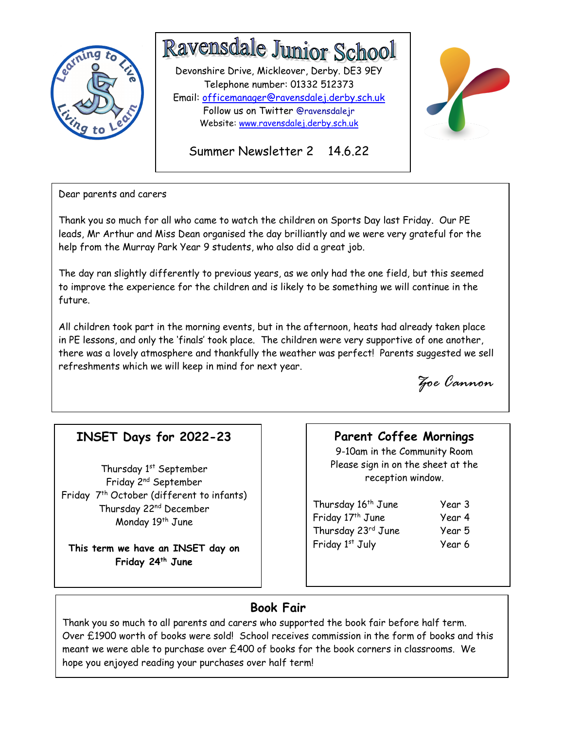

# Ravensdale Junior School

Website: <u>www.ravensdalej.derby.sch.uk</u><br>. Devonshire Drive, Mickleover, Derby. DE3 9EY Telephone number: 01332 512373 Email: officemanager@ravensdalej.derby.sch.uk Follow us on Twitter @ravensdalejr





Dear parents and carers

Thank you so much for all who came to watch the children on Sports Day last Friday. Our PE leads, Mr Arthur and Miss Dean organised the day brilliantly and we were very grateful for the help from the Murray Park Year 9 students, who also did a great job.

 The day ran slightly differently to previous years, as we only had the one field, but this seemed to improve the experience for the children and is likely to be something we will continue in the future.

 All children took part in the morning events, but in the afternoon, heats had already taken place in PE lessons, and only the 'finals' took place. The children were very supportive of one another, there was a lovely atmosphere and thankfully the weather was perfect! Parents suggested we sell refreshments which we will keep in mind for next year.

Zoe Cannon

# INSET Days for 2022-23

Thursday 1<sup>st</sup> September Friday 2nd September Friday 7<sup>th</sup> October (different to infants) Thursday 22nd December Monday 19<sup>th</sup> June

This term we have an INSET day on Friday 24<sup>th</sup> June

## Parent Coffee Mornings

9-10am in the Community Room Please sign in on the sheet at the reception window.

Thursday 16<sup>th</sup> June Year 3 Friday 17<sup>th</sup> June Year 4 Thursday 23<sup>rd</sup> June Year 5 Friday 1<sup>st</sup> July Year 6

# Book Fair

Thank you so much to all parents and carers who supported the book fair before half term. Over £1900 worth of books were sold! School receives commission in the form of books and this meant we were able to purchase over £400 of books for the book corners in classrooms. We hope you enjoyed reading your purchases over half term!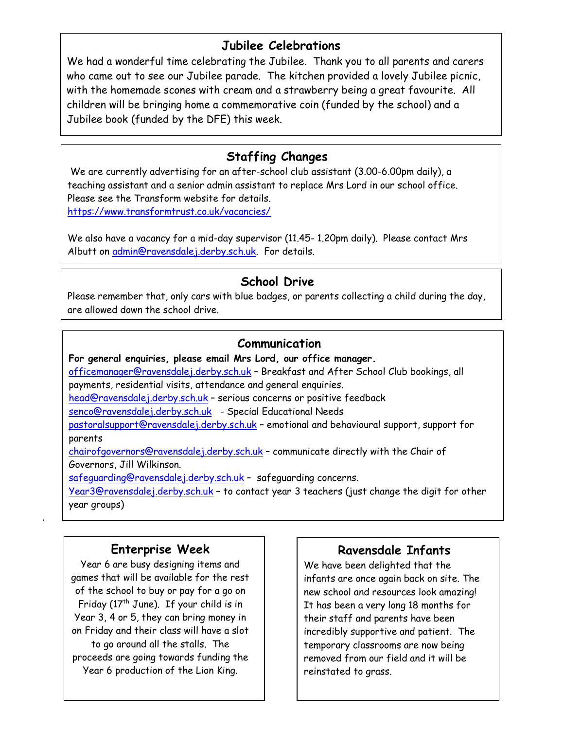## Jubilee Celebrations

We had a wonderful time celebrating the Jubilee. Thank you to all parents and carers who came out to see our Jubilee parade. The kitchen provided a lovely Jubilee picnic, with the homemade scones with cream and a strawberry being a great favourite. All children will be bringing home a commemorative coin (funded by the school) and a Jubilee book (funded by the DFE) this week.

# Staffing Changes

 We are currently advertising for an after-school club assistant (3.00-6.00pm daily), a teaching assistant and a senior admin assistant to replace Mrs Lord in our school office. Please see the Transform website for details. https://www.transformtrust.co.uk/vacancies/

We also have a vacancy for a mid-day supervisor (11.45- 1.20pm daily). Please contact Mrs Albutt on admin@ravensdalej.derby.sch.uk. For details.

# School Drive

Please remember that, only cars with blue badges, or parents collecting a child during the day, are allowed down the school drive.

## Communication

For general enquiries, please email Mrs Lord, our office manager. officemanager@ravensdalej.derby.sch.uk – Breakfast and After School Club bookings, all payments, residential visits, attendance and general enquiries. head@ravensdalej.derby.sch.uk – serious concerns or positive feedback senco@ravensdalej.derby.sch.uk - Special Educational Needs pastoralsupport@ravensdalej.derby.sch.uk – emotional and behavioural support, support for parents chairofgovernors@ravensdalej.derby.sch.uk – communicate directly with the Chair of Governors, Jill Wilkinson.

safeguarding@ravensdalej.derby.sch.uk – safeguarding concerns.

Year3@ravensdalej.derby.sch.uk - to contact year 3 teachers (just change the digit for other year groups)

## Enterprise Week

.

Year 6 are busy designing items and games that will be available for the rest of the school to buy or pay for a go on Friday ( $17<sup>th</sup>$  June). If your child is in Year 3, 4 or 5, they can bring money in on Friday and their class will have a slot to go around all the stalls. The proceeds are going towards funding the Year 6 production of the Lion King.

# Ravensdale Infants

We have been delighted that the infants are once again back on site. The new school and resources look amazing! It has been a very long 18 months for their staff and parents have been incredibly supportive and patient. The temporary classrooms are now being removed from our field and it will be reinstated to grass.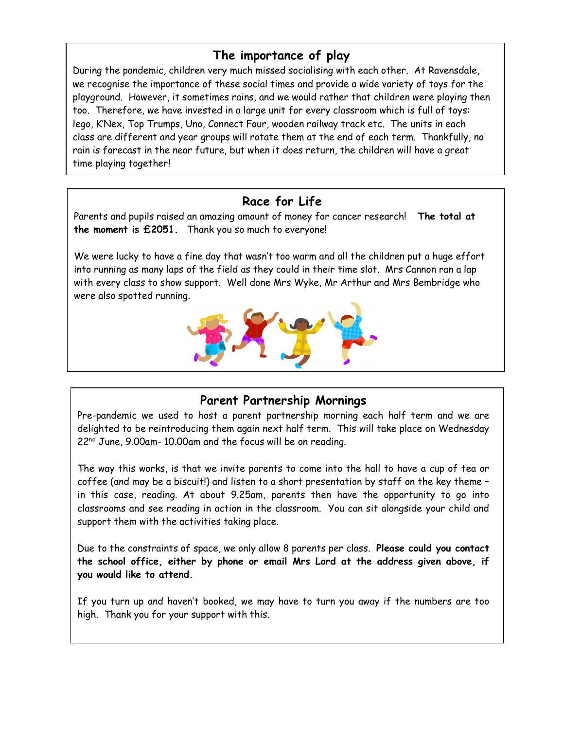# The importance of play

During the pandemic, children very much missed socialising with each other. At Ravensdale, we recognise the importance of these social times and provide a wide variety of toys for the playground. However, it sometimes rains, and we would rather that children were playing then too. Therefore, we have invested in a large unit for every classroom which is full of toys: lego, K'Nex, Top Trumps, Uno, Connect Four, wooden railway track etc. The units in each class are different and year groups will rotate them at the end of each term. Thankfully, no rain is forecast in the near future, but when it does return, the children will have a great time playing together!

## Race for Life

Parents and pupils raised an amazing amount of money for cancer research! The total at the moment is £2051. Thank you so much to everyone!

We were lucky to have a fine day that wasn't too warm and all the children put a huge effort into running as many laps of the field as they could in their time slot. Mrs Cannon ran a lap with every class to show support. Well done Mrs Wyke, Mr Arthur and Mrs Bembridge who were also spotted running.



## Parent Partnership Mornings

Pre-pandemic we used to host a parent partnership morning each half term and we are delighted to be reintroducing them again next half term. This will take place on Wednesday 22nd June, 9.00am- 10.00am and the focus will be on reading.

The way this works, is that we invite parents to come into the hall to have a cup of tea or coffee (and may be a biscuit!) and listen to a short presentation by staff on the key theme in this case, reading. At about 9.25am, parents then have the opportunity to go into classrooms and see reading in action in the classroom. You can sit alongside your child and support them with the activities taking place.

Due to the constraints of space, we only allow 8 parents per class. Please could you contact the school office, either by phone or email Mrs Lord at the address given above, if you would like to attend.

If you turn up and haven't booked, we may have to turn you away if the numbers are too high. Thank you for your support with this.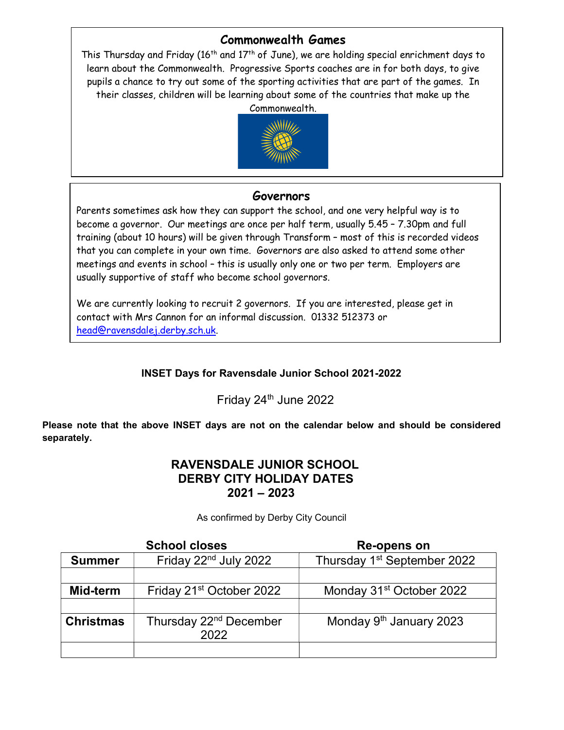#### Commonwealth Games

their classes, children will be learning about some of the countries that make up the This Thursday and Friday ( $16<sup>th</sup>$  and  $17<sup>th</sup>$  of June), we are holding special enrichment days to learn about the Commonwealth. Progressive Sports coaches are in for both days, to give pupils a chance to try out some of the sporting activities that are part of the games. In Commonwealth.



#### Governors

Parents sometimes ask how they can support the school, and one very helpful way is to become a governor. Our meetings are once per half term, usually 5.45 – 7.30pm and full training (about 10 hours) will be given through Transform – most of this is recorded videos that you can complete in your own time. Governors are also asked to attend some other meetings and events in school – this is usually only one or two per term. Employers are usually supportive of staff who become school governors.

We are currently looking to recruit 2 governors. If you are interested, please get in contact with Mrs Cannon for an informal discussion. 01332 512373 or head@ravensdalej.derby.sch.uk.

#### INSET Days for Ravensdale Junior School 2021-2022

Friday 24<sup>th</sup> June 2022

Please note that the above INSET days are not on the calendar below and should be considered separately.

#### RAVENSDALE JUNIOR SCHOOL DERBY CITY HOLIDAY DATES 2021 – 2023

|                  | <b>School closes</b>                       | Re-opens on                             |
|------------------|--------------------------------------------|-----------------------------------------|
| <b>Summer</b>    | Friday 22 <sup>nd</sup> July 2022          | Thursday 1 <sup>st</sup> September 2022 |
|                  |                                            |                                         |
| Mid-term         | Friday 21 <sup>st</sup> October 2022       | Monday 31 <sup>st</sup> October 2022    |
|                  |                                            |                                         |
| <b>Christmas</b> | Thursday 22 <sup>nd</sup> December<br>2022 | Monday 9 <sup>th</sup> January 2023     |
|                  |                                            |                                         |

As confirmed by Derby City Council